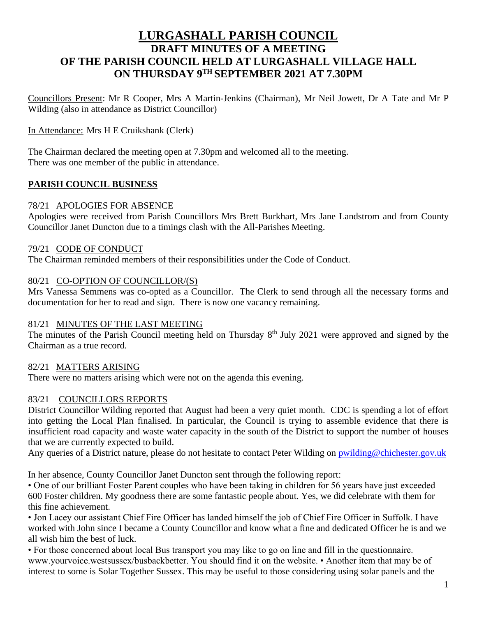# **LURGASHALL PARISH COUNCIL DRAFT MINUTES OF A MEETING OF THE PARISH COUNCIL HELD AT LURGASHALL VILLAGE HALL ON THURSDAY 9 TH SEPTEMBER 2021 AT 7.30PM**

Councillors Present: Mr R Cooper, Mrs A Martin-Jenkins (Chairman), Mr Neil Jowett, Dr A Tate and Mr P Wilding (also in attendance as District Councillor)

In Attendance: Mrs H E Cruikshank (Clerk)

The Chairman declared the meeting open at 7.30pm and welcomed all to the meeting. There was one member of the public in attendance.

## **PARISH COUNCIL BUSINESS**

### 78/21 APOLOGIES FOR ABSENCE

Apologies were received from Parish Councillors Mrs Brett Burkhart, Mrs Jane Landstrom and from County Councillor Janet Duncton due to a timings clash with the All-Parishes Meeting.

### 79/21 CODE OF CONDUCT

The Chairman reminded members of their responsibilities under the Code of Conduct.

### 80/21 CO-OPTION OF COUNCILLOR/(S)

Mrs Vanessa Semmens was co-opted as a Councillor. The Clerk to send through all the necessary forms and documentation for her to read and sign. There is now one vacancy remaining.

### 81/21 MINUTES OF THE LAST MEETING

The minutes of the Parish Council meeting held on Thursday 8<sup>th</sup> July 2021 were approved and signed by the Chairman as a true record.

## 82/21 MATTERS ARISING

There were no matters arising which were not on the agenda this evening.

## 83/21 COUNCILLORS REPORTS

District Councillor Wilding reported that August had been a very quiet month. CDC is spending a lot of effort into getting the Local Plan finalised. In particular, the Council is trying to assemble evidence that there is insufficient road capacity and waste water capacity in the south of the District to support the number of houses that we are currently expected to build.

Any queries of a District nature, please do not hesitate to contact Peter Wilding on [pwilding@chichester.gov.uk](mailto:pwilding@chichester.gov.uk)

In her absence, County Councillor Janet Duncton sent through the following report:

• One of our brilliant Foster Parent couples who have been taking in children for 56 years have just exceeded 600 Foster children. My goodness there are some fantastic people about. Yes, we did celebrate with them for this fine achievement.

• Jon Lacey our assistant Chief Fire Officer has landed himself the job of Chief Fire Officer in Suffolk. I have worked with John since I became a County Councillor and know what a fine and dedicated Officer he is and we all wish him the best of luck.

• For those concerned about local Bus transport you may like to go on line and fill in the questionnaire. www.yourvoice.westsussex/busbackbetter. You should find it on the website. • Another item that may be of interest to some is Solar Together Sussex. This may be useful to those considering using solar panels and the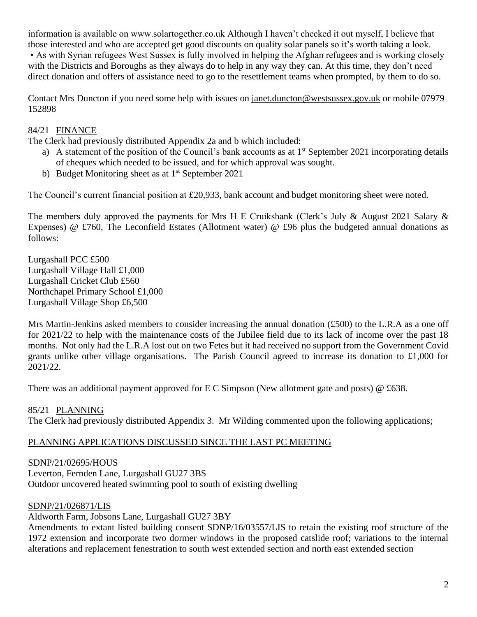information is available on www.solartogether.co.uk Although I haven't checked it out myself, I believe that those interested and who are accepted get good discounts on quality solar panels so it's worth taking a look. • As with Syrian refugees West Sussex is fully involved in helping the Afghan refugees and is working closely with the Districts and Boroughs as they always do to help in any way they can. At this time, they don't need direct donation and offers of assistance need to go to the resettlement teams when prompted, by them to do so.

Contact Mrs Duncton if you need some help with issues on [janet.duncton@westsussex.gov.uk](mailto:janet.duncton@westsussex.gov.uk) or mobile 07979 152898

## 84/21 FINANCE

The Clerk had previously distributed Appendix 2a and b which included:

- a) A statement of the position of the Council's bank accounts as at  $1<sup>st</sup>$  September 2021 incorporating details of cheques which needed to be issued, and for which approval was sought.
- b) Budget Monitoring sheet as at 1<sup>st</sup> September 2021

The Council's current financial position at £20,933, bank account and budget monitoring sheet were noted.

The members duly approved the payments for Mrs H E Cruikshank (Clerk's July & August 2021 Salary & Expenses) @ £760, The Leconfield Estates (Allotment water) @ £96 plus the budgeted annual donations as follows:

Lurgashall PCC £500 Lurgashall Village Hall £1,000 Lurgashall Cricket Club £560 Northchapel Primary School £1,000 Lurgashall Village Shop £6,500

Mrs Martin-Jenkins asked members to consider increasing the annual donation  $(E500)$  to the L.R.A as a one off for 2021/22 to help with the maintenance costs of the Jubilee field due to its lack of income over the past 18 months. Not only had the L.R.A lost out on two Fetes but it had received no support from the Government Covid grants unlike other village organisations. The Parish Council agreed to increase its donation to  $\text{\pounds}1,000$  for 2021/22.

There was an additional payment approved for E C Simpson (New allotment gate and posts) @ £638.

85/21 PLANNING The Clerk had previously distributed Appendix 3. Mr Wilding commented upon the following applications;

## PLANNING APPLICATIONS DISCUSSED SINCE THE LAST PC MEETING

## SDNP/21/02695/HOUS

Leverton, Fernden Lane, Lurgashall GU27 3BS Outdoor uncovered heated swimming pool to south of existing dwelling

### SDNP/21/026871/LIS

Aldworth Farm, Jobsons Lane, Lurgashall GU27 3BY

Amendments to extant listed building consent SDNP/16/03557/LIS to retain the existing roof structure of the 1972 extension and incorporate two dormer windows in the proposed catslide roof; variations to the internal alterations and replacement fenestration to south west extended section and north east extended section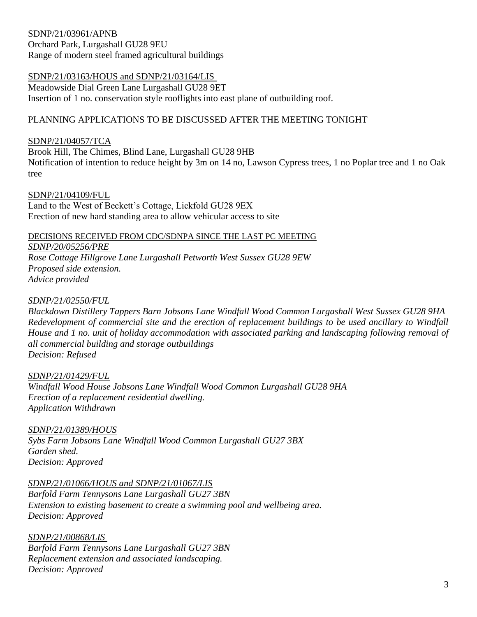### SDNP/21/03961/APNB

Orchard Park, Lurgashall GU28 9EU Range of modern steel framed agricultural buildings

### SDNP/21/03163/HOUS and SDNP/21/03164/LIS

Meadowside Dial Green Lane Lurgashall GU28 9ET Insertion of 1 no. conservation style rooflights into east plane of outbuilding roof.

### PLANNING APPLICATIONS TO BE DISCUSSED AFTER THE MEETING TONIGHT

### SDNP/21/04057/TCA

Brook Hill, The Chimes, Blind Lane, Lurgashall GU28 9HB

Notification of intention to reduce height by 3m on 14 no, Lawson Cypress trees, 1 no Poplar tree and 1 no Oak tree

### SDNP/21/04109/FUL

Land to the West of Beckett's Cottage, Lickfold GU28 9EX Erection of new hard standing area to allow vehicular access to site

#### DECISIONS RECEIVED FROM CDC/SDNPA SINCE THE LAST PC MEETING

*SDNP/20/05256/PRE*

*Rose Cottage Hillgrove Lane Lurgashall Petworth West Sussex GU28 9EW Proposed side extension. Advice provided*

### *SDNP/21/02550/FUL*

*Blackdown Distillery Tappers Barn Jobsons Lane Windfall Wood Common Lurgashall West Sussex GU28 9HA Redevelopment of commercial site and the erection of replacement buildings to be used ancillary to Windfall House and 1 no. unit of holiday accommodation with associated parking and landscaping following removal of all commercial building and storage outbuildings Decision: Refused*

### *SDNP/21/01429/FUL*

*Windfall Wood House Jobsons Lane Windfall Wood Common Lurgashall GU28 9HA Erection of a replacement residential dwelling. Application Withdrawn*

*SDNP/21/01389/HOUS Sybs Farm Jobsons Lane Windfall Wood Common Lurgashall GU27 3BX Garden shed. Decision: Approved*

*SDNP/21/01066/HOUS and SDNP/21/01067/LIS Barfold Farm Tennysons Lane Lurgashall GU27 3BN Extension to existing basement to create a swimming pool and wellbeing area. Decision: Approved*

*SDNP/21/00868/LIS Barfold Farm Tennysons Lane Lurgashall GU27 3BN Replacement extension and associated landscaping. Decision: Approved*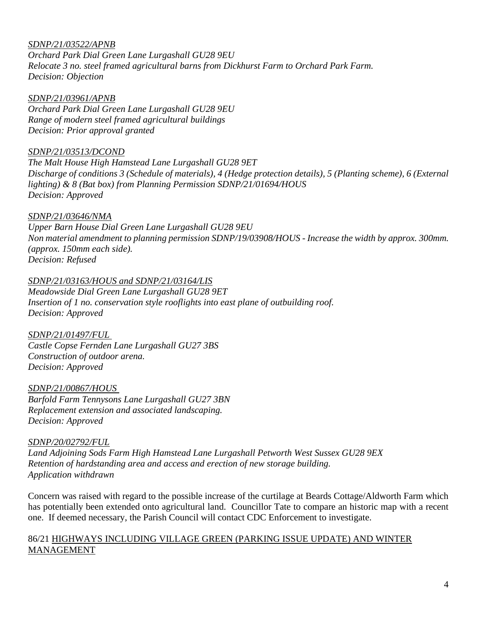### *SDNP/21/03522/APNB*

*Orchard Park Dial Green Lane Lurgashall GU28 9EU Relocate 3 no. steel framed agricultural barns from Dickhurst Farm to Orchard Park Farm. Decision: Objection*

#### *SDNP/21/03961/APNB*

*Orchard Park Dial Green Lane Lurgashall GU28 9EU Range of modern steel framed agricultural buildings Decision: Prior approval granted*

#### *SDNP/21/03513/DCOND*

*The Malt House High Hamstead Lane Lurgashall GU28 9ET Discharge of conditions 3 (Schedule of materials), 4 (Hedge protection details), 5 (Planting scheme), 6 (External lighting) & 8 (Bat box) from Planning Permission SDNP/21/01694/HOUS Decision: Approved*

#### *SDNP/21/03646/NMA*

*Upper Barn House Dial Green Lane Lurgashall GU28 9EU Non material amendment to planning permission SDNP/19/03908/HOUS - Increase the width by approx. 300mm. (approx. 150mm each side). Decision: Refused*

#### *SDNP/21/03163/HOUS and SDNP/21/03164/LIS*

*Meadowside Dial Green Lane Lurgashall GU28 9ET Insertion of 1 no. conservation style rooflights into east plane of outbuilding roof. Decision: Approved*

*SDNP/21/01497/FUL Castle Copse Fernden Lane Lurgashall GU27 3BS Construction of outdoor arena. Decision: Approved*

*SDNP/21/00867/HOUS Barfold Farm Tennysons Lane Lurgashall GU27 3BN Replacement extension and associated landscaping. Decision: Approved*

#### *SDNP/20/02792/FUL*

*Land Adjoining Sods Farm High Hamstead Lane Lurgashall Petworth West Sussex GU28 9EX Retention of hardstanding area and access and erection of new storage building. Application withdrawn*

Concern was raised with regard to the possible increase of the curtilage at Beards Cottage/Aldworth Farm which has potentially been extended onto agricultural land. Councillor Tate to compare an historic map with a recent one. If deemed necessary, the Parish Council will contact CDC Enforcement to investigate.

#### 86/21 HIGHWAYS INCLUDING VILLAGE GREEN (PARKING ISSUE UPDATE) AND WINTER MANAGEMENT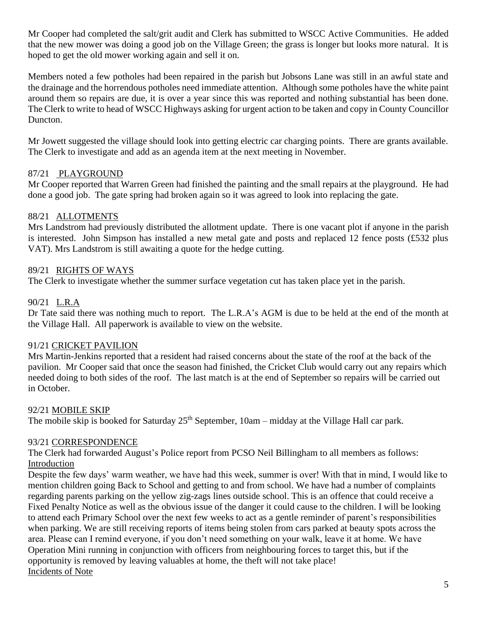Mr Cooper had completed the salt/grit audit and Clerk has submitted to WSCC Active Communities. He added that the new mower was doing a good job on the Village Green; the grass is longer but looks more natural. It is hoped to get the old mower working again and sell it on.

Members noted a few potholes had been repaired in the parish but Jobsons Lane was still in an awful state and the drainage and the horrendous potholes need immediate attention. Although some potholes have the white paint around them so repairs are due, it is over a year since this was reported and nothing substantial has been done. The Clerk to write to head of WSCC Highways asking for urgent action to be taken and copy in County Councillor Duncton.

Mr Jowett suggested the village should look into getting electric car charging points. There are grants available. The Clerk to investigate and add as an agenda item at the next meeting in November.

### 87/21 PLAYGROUND

Mr Cooper reported that Warren Green had finished the painting and the small repairs at the playground. He had done a good job. The gate spring had broken again so it was agreed to look into replacing the gate.

### 88/21 ALLOTMENTS

Mrs Landstrom had previously distributed the allotment update. There is one vacant plot if anyone in the parish is interested. John Simpson has installed a new metal gate and posts and replaced 12 fence posts (£532 plus VAT). Mrs Landstrom is still awaiting a quote for the hedge cutting.

### 89/21 RIGHTS OF WAYS

The Clerk to investigate whether the summer surface vegetation cut has taken place yet in the parish.

### 90/21 L.R.A

Dr Tate said there was nothing much to report. The L.R.A's AGM is due to be held at the end of the month at the Village Hall. All paperwork is available to view on the website.

### 91/21 CRICKET PAVILION

Mrs Martin-Jenkins reported that a resident had raised concerns about the state of the roof at the back of the pavilion. Mr Cooper said that once the season had finished, the Cricket Club would carry out any repairs which needed doing to both sides of the roof. The last match is at the end of September so repairs will be carried out in October.

### 92/21 MOBILE SKIP

The mobile skip is booked for Saturday  $25<sup>th</sup>$  September,  $10am - midday$  at the Village Hall car park.

### 93/21 CORRESPONDENCE

The Clerk had forwarded August's Police report from PCSO Neil Billingham to all members as follows: Introduction

Despite the few days' warm weather, we have had this week, summer is over! With that in mind, I would like to mention children going Back to School and getting to and from school. We have had a number of complaints regarding parents parking on the yellow zig-zags lines outside school. This is an offence that could receive a Fixed Penalty Notice as well as the obvious issue of the danger it could cause to the children. I will be looking to attend each Primary School over the next few weeks to act as a gentle reminder of parent's responsibilities when parking. We are still receiving reports of items being stolen from cars parked at beauty spots across the area. Please can I remind everyone, if you don't need something on your walk, leave it at home. We have Operation Mini running in conjunction with officers from neighbouring forces to target this, but if the opportunity is removed by leaving valuables at home, the theft will not take place! Incidents of Note